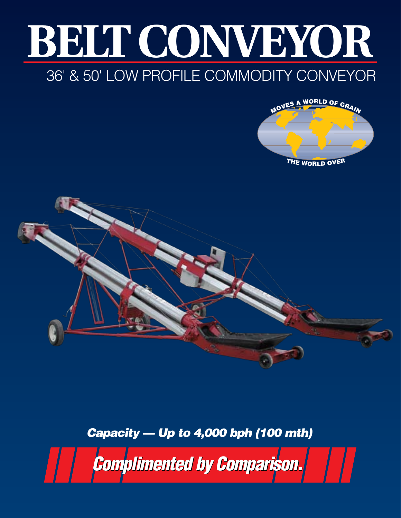## **BELT CONVEYOR** 36' & 50' Low Profile commodity conveyor





## *Capacity — Up to 4,000 bph (100 mth)*

*Complimented by Comparison. Complimented by Comparison.*